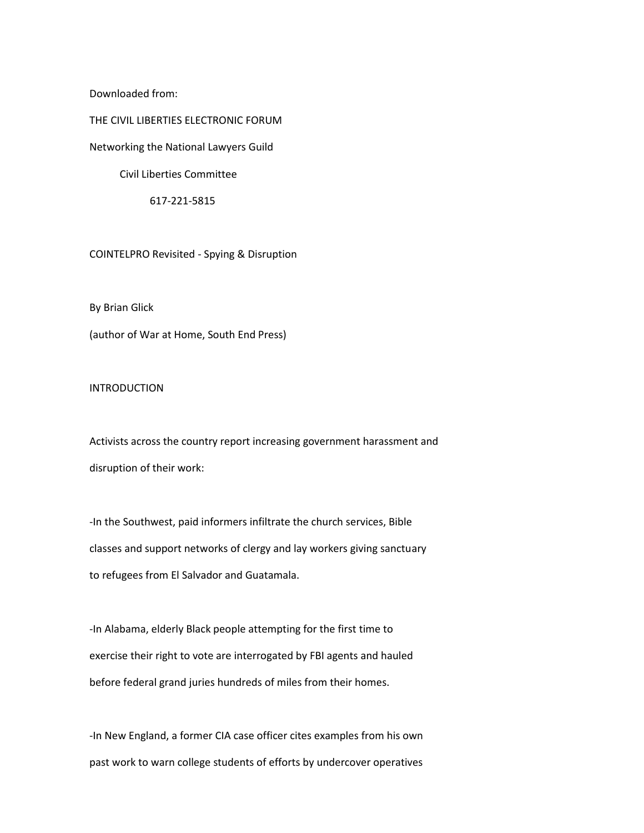Downloaded from:

THE CIVIL LIBERTIES ELECTRONIC FORUM

Networking the National Lawyers Guild

Civil Liberties Committee

617-221-5815

COINTELPRO Revisited - Spying & Disruption

By Brian Glick

(author of War at Home, South End Press)

INTRODUCTION

Activists across the country report increasing government harassment and disruption of their work:

-In the Southwest, paid informers infiltrate the church services, Bible classes and support networks of clergy and lay workers giving sanctuary to refugees from El Salvador and Guatamala.

-In Alabama, elderly Black people attempting for the first time to exercise their right to vote are interrogated by FBI agents and hauled before federal grand juries hundreds of miles from their homes.

-In New England, a former CIA case officer cites examples from his own past work to warn college students of efforts by undercover operatives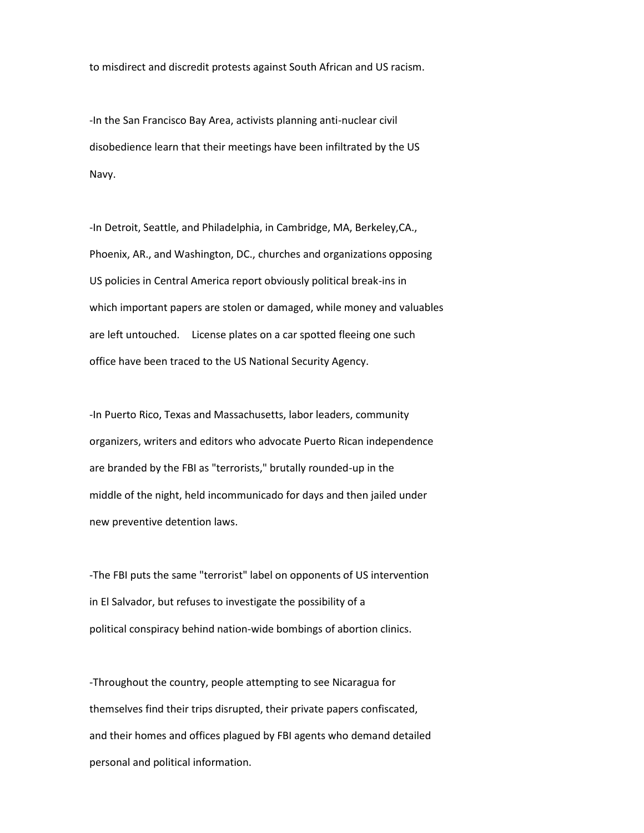to misdirect and discredit protests against South African and US racism.

-In the San Francisco Bay Area, activists planning anti-nuclear civil disobedience learn that their meetings have been infiltrated by the US Navy.

-In Detroit, Seattle, and Philadelphia, in Cambridge, MA, Berkeley,CA., Phoenix, AR., and Washington, DC., churches and organizations opposing US policies in Central America report obviously political break-ins in which important papers are stolen or damaged, while money and valuables are left untouched. License plates on a car spotted fleeing one such office have been traced to the US National Security Agency.

-In Puerto Rico, Texas and Massachusetts, labor leaders, community organizers, writers and editors who advocate Puerto Rican independence are branded by the FBI as "terrorists," brutally rounded-up in the middle of the night, held incommunicado for days and then jailed under new preventive detention laws.

-The FBI puts the same "terrorist" label on opponents of US intervention in El Salvador, but refuses to investigate the possibility of a political conspiracy behind nation-wide bombings of abortion clinics.

-Throughout the country, people attempting to see Nicaragua for themselves find their trips disrupted, their private papers confiscated, and their homes and offices plagued by FBI agents who demand detailed personal and political information.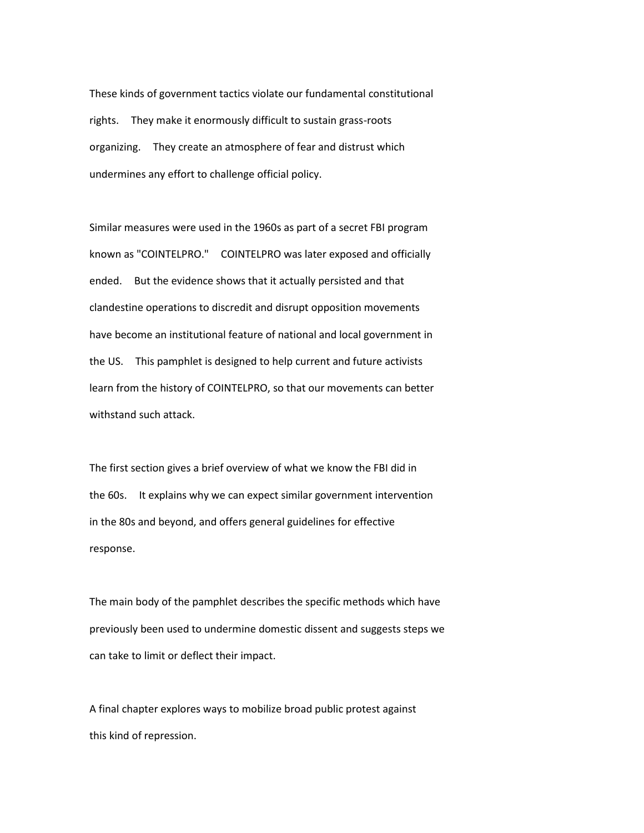These kinds of government tactics violate our fundamental constitutional rights. They make it enormously difficult to sustain grass-roots organizing. They create an atmosphere of fear and distrust which undermines any effort to challenge official policy.

Similar measures were used in the 1960s as part of a secret FBI program known as "COINTELPRO." COINTELPRO was later exposed and officially ended. But the evidence shows that it actually persisted and that clandestine operations to discredit and disrupt opposition movements have become an institutional feature of national and local government in the US. This pamphlet is designed to help current and future activists learn from the history of COINTELPRO, so that our movements can better withstand such attack.

The first section gives a brief overview of what we know the FBI did in the 60s. It explains why we can expect similar government intervention in the 80s and beyond, and offers general guidelines for effective response.

The main body of the pamphlet describes the specific methods which have previously been used to undermine domestic dissent and suggests steps we can take to limit or deflect their impact.

A final chapter explores ways to mobilize broad public protest against this kind of repression.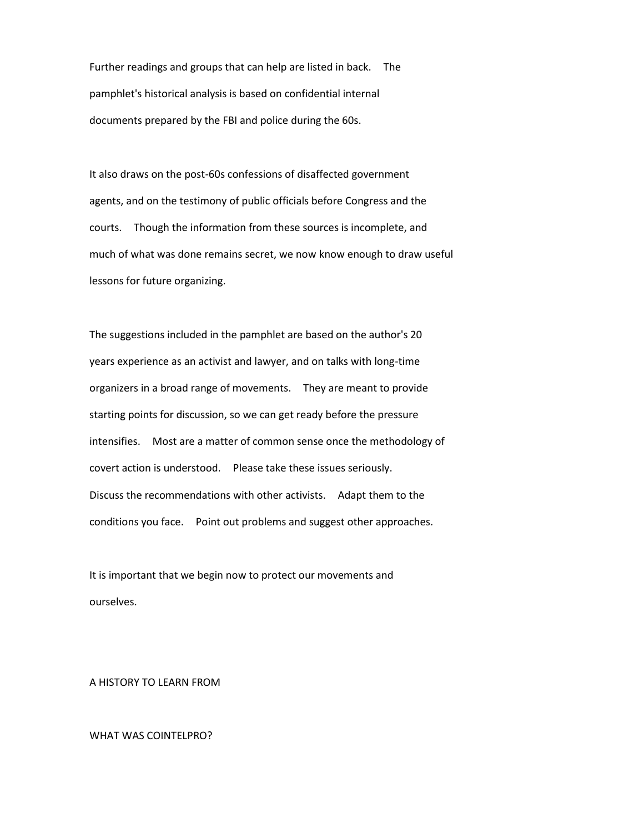Further readings and groups that can help are listed in back. The pamphlet's historical analysis is based on confidential internal documents prepared by the FBI and police during the 60s.

It also draws on the post-60s confessions of disaffected government agents, and on the testimony of public officials before Congress and the courts. Though the information from these sources is incomplete, and much of what was done remains secret, we now know enough to draw useful lessons for future organizing.

The suggestions included in the pamphlet are based on the author's 20 years experience as an activist and lawyer, and on talks with long-time organizers in a broad range of movements. They are meant to provide starting points for discussion, so we can get ready before the pressure intensifies. Most are a matter of common sense once the methodology of covert action is understood. Please take these issues seriously. Discuss the recommendations with other activists. Adapt them to the conditions you face. Point out problems and suggest other approaches.

It is important that we begin now to protect our movements and ourselves.

A HISTORY TO LEARN FROM

WHAT WAS COINTELPRO?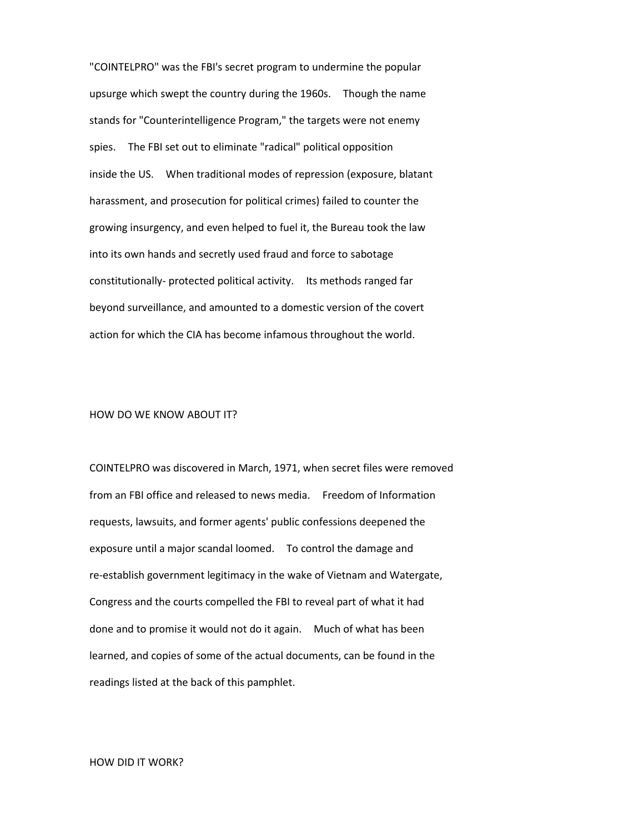"COINTELPRO" was the FBI's secret program to undermine the popular upsurge which swept the country during the 1960s. Though the name stands for "Counterintelligence Program," the targets were not enemy spies. The FBI set out to eliminate "radical" political opposition inside the US. When traditional modes of repression (exposure, blatant harassment, and prosecution for political crimes) failed to counter the growing insurgency, and even helped to fuel it, the Bureau took the law into its own hands and secretly used fraud and force to sabotage constitutionally- protected political activity. Its methods ranged far beyond surveillance, and amounted to a domestic version of the covert action for which the CIA has become infamous throughout the world.

### HOW DO WE KNOW ABOUT IT?

COINTELPRO was discovered in March, 1971, when secret files were removed from an FBI office and released to news media. Freedom of Information requests, lawsuits, and former agents' public confessions deepened the exposure until a major scandal loomed. To control the damage and re-establish government legitimacy in the wake of Vietnam and Watergate, Congress and the courts compelled the FBI to reveal part of what it had done and to promise it would not do it again. Much of what has been learned, and copies of some of the actual documents, can be found in the readings listed at the back of this pamphlet.

### HOW DID IT WORK?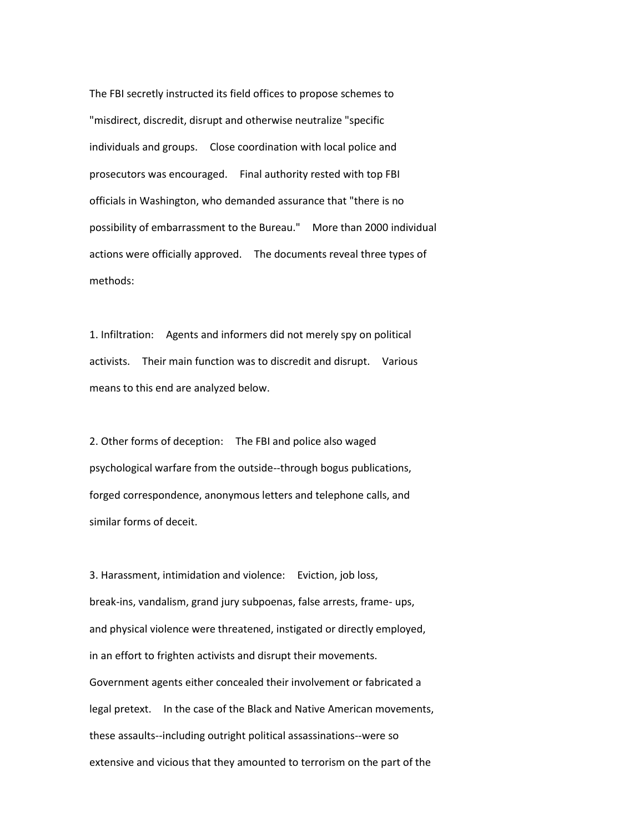The FBI secretly instructed its field offices to propose schemes to "misdirect, discredit, disrupt and otherwise neutralize "specific individuals and groups. Close coordination with local police and prosecutors was encouraged. Final authority rested with top FBI officials in Washington, who demanded assurance that "there is no possibility of embarrassment to the Bureau." More than 2000 individual actions were officially approved. The documents reveal three types of methods:

1. Infiltration: Agents and informers did not merely spy on political activists. Their main function was to discredit and disrupt. Various means to this end are analyzed below.

2. Other forms of deception: The FBI and police also waged psychological warfare from the outside--through bogus publications, forged correspondence, anonymous letters and telephone calls, and similar forms of deceit.

3. Harassment, intimidation and violence: Eviction, job loss, break-ins, vandalism, grand jury subpoenas, false arrests, frame- ups, and physical violence were threatened, instigated or directly employed, in an effort to frighten activists and disrupt their movements. Government agents either concealed their involvement or fabricated a legal pretext. In the case of the Black and Native American movements, these assaults--including outright political assassinations--were so extensive and vicious that they amounted to terrorism on the part of the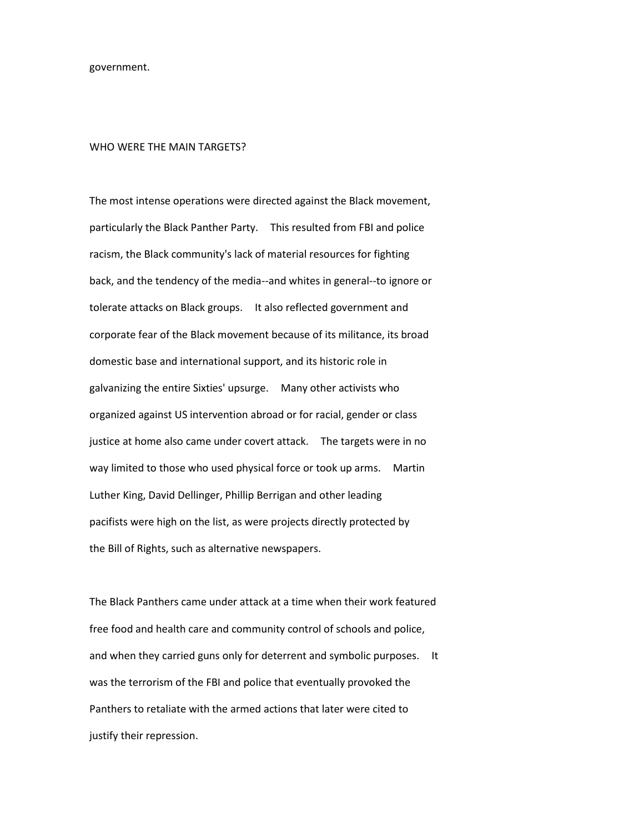government.

### WHO WERE THE MAIN TARGETS?

The most intense operations were directed against the Black movement, particularly the Black Panther Party. This resulted from FBI and police racism, the Black community's lack of material resources for fighting back, and the tendency of the media--and whites in general--to ignore or tolerate attacks on Black groups. It also reflected government and corporate fear of the Black movement because of its militance, its broad domestic base and international support, and its historic role in galvanizing the entire Sixties' upsurge. Many other activists who organized against US intervention abroad or for racial, gender or class justice at home also came under covert attack. The targets were in no way limited to those who used physical force or took up arms. Martin Luther King, David Dellinger, Phillip Berrigan and other leading pacifists were high on the list, as were projects directly protected by the Bill of Rights, such as alternative newspapers.

The Black Panthers came under attack at a time when their work featured free food and health care and community control of schools and police, and when they carried guns only for deterrent and symbolic purposes. It was the terrorism of the FBI and police that eventually provoked the Panthers to retaliate with the armed actions that later were cited to justify their repression.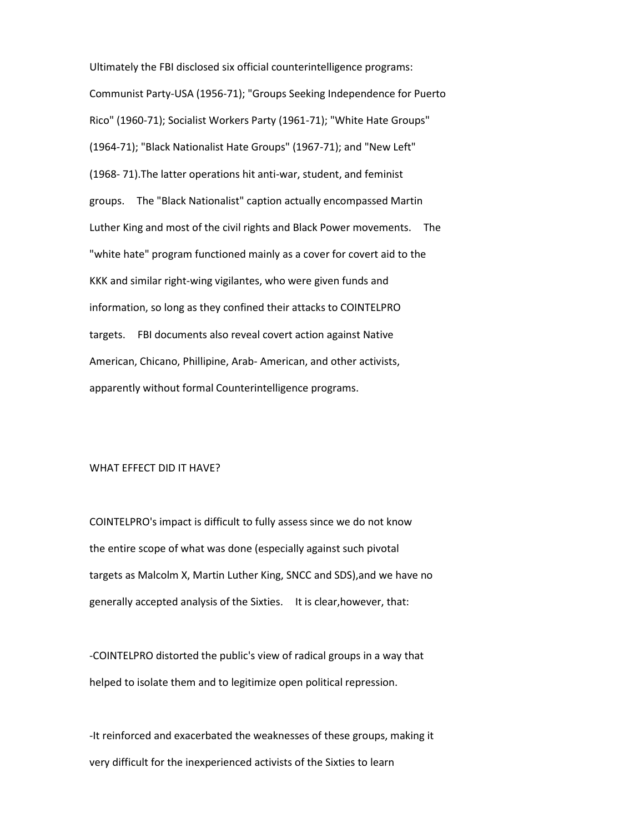Ultimately the FBI disclosed six official counterintelligence programs: Communist Party-USA (1956-71); "Groups Seeking Independence for Puerto Rico" (1960-71); Socialist Workers Party (1961-71); "White Hate Groups" (1964-71); "Black Nationalist Hate Groups" (1967-71); and "New Left" (1968- 71).The latter operations hit anti-war, student, and feminist groups. The "Black Nationalist" caption actually encompassed Martin Luther King and most of the civil rights and Black Power movements. The "white hate" program functioned mainly as a cover for covert aid to the KKK and similar right-wing vigilantes, who were given funds and information, so long as they confined their attacks to COINTELPRO targets. FBI documents also reveal covert action against Native American, Chicano, Phillipine, Arab- American, and other activists, apparently without formal Counterintelligence programs.

# WHAT EFFECT DID IT HAVE?

COINTELPRO's impact is difficult to fully assess since we do not know the entire scope of what was done (especially against such pivotal targets as Malcolm X, Martin Luther King, SNCC and SDS),and we have no generally accepted analysis of the Sixties. It is clear,however, that:

-COINTELPRO distorted the public's view of radical groups in a way that helped to isolate them and to legitimize open political repression.

-It reinforced and exacerbated the weaknesses of these groups, making it very difficult for the inexperienced activists of the Sixties to learn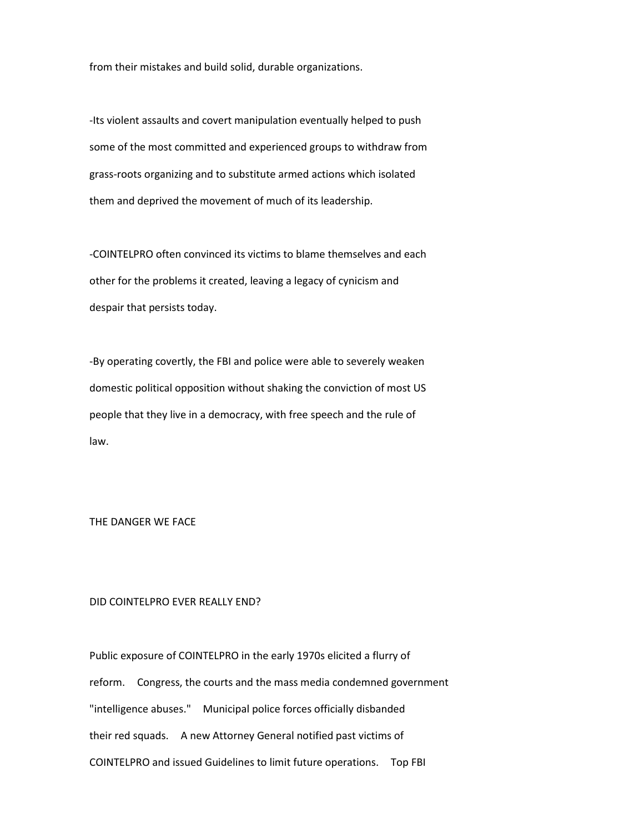from their mistakes and build solid, durable organizations.

-Its violent assaults and covert manipulation eventually helped to push some of the most committed and experienced groups to withdraw from grass-roots organizing and to substitute armed actions which isolated them and deprived the movement of much of its leadership.

-COINTELPRO often convinced its victims to blame themselves and each other for the problems it created, leaving a legacy of cynicism and despair that persists today.

-By operating covertly, the FBI and police were able to severely weaken domestic political opposition without shaking the conviction of most US people that they live in a democracy, with free speech and the rule of law.

THE DANGER WE FACE

# DID COINTELPRO EVER REALLY END?

Public exposure of COINTELPRO in the early 1970s elicited a flurry of reform. Congress, the courts and the mass media condemned government "intelligence abuses." Municipal police forces officially disbanded their red squads. A new Attorney General notified past victims of COINTELPRO and issued Guidelines to limit future operations. Top FBI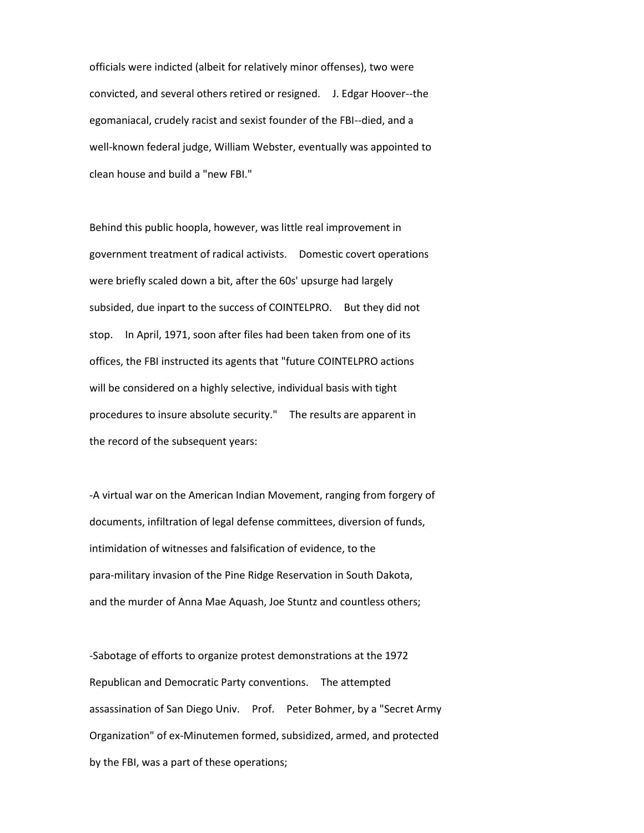officials were indicted (albeit for relatively minor offenses), two were convicted, and several others retired or resigned. J. Edgar Hoover--the egomaniacal, crudely racist and sexist founder of the FBI--died, and a well-known federal judge, William Webster, eventually was appointed to clean house and build a "new FBI."

Behind this public hoopla, however, was little real improvement in government treatment of radical activists. Domestic covert operations were briefly scaled down a bit, after the 60s' upsurge had largely subsided, due inpart to the success of COINTELPRO. But they did not stop. In April, 1971, soon after files had been taken from one of its offices, the FBI instructed its agents that "future COINTELPRO actions will be considered on a highly selective, individual basis with tight procedures to insure absolute security." The results are apparent in the record of the subsequent years:

-A virtual war on the American Indian Movement, ranging from forgery of documents, infiltration of legal defense committees, diversion of funds, intimidation of witnesses and falsification of evidence, to the para-military invasion of the Pine Ridge Reservation in South Dakota, and the murder of Anna Mae Aquash, Joe Stuntz and countless others;

-Sabotage of efforts to organize protest demonstrations at the 1972 Republican and Democratic Party conventions. The attempted assassination of San Diego Univ. Prof. Peter Bohmer, by a "Secret Army Organization" of ex-Minutemen formed, subsidized, armed, and protected by the FBI, was a part of these operations;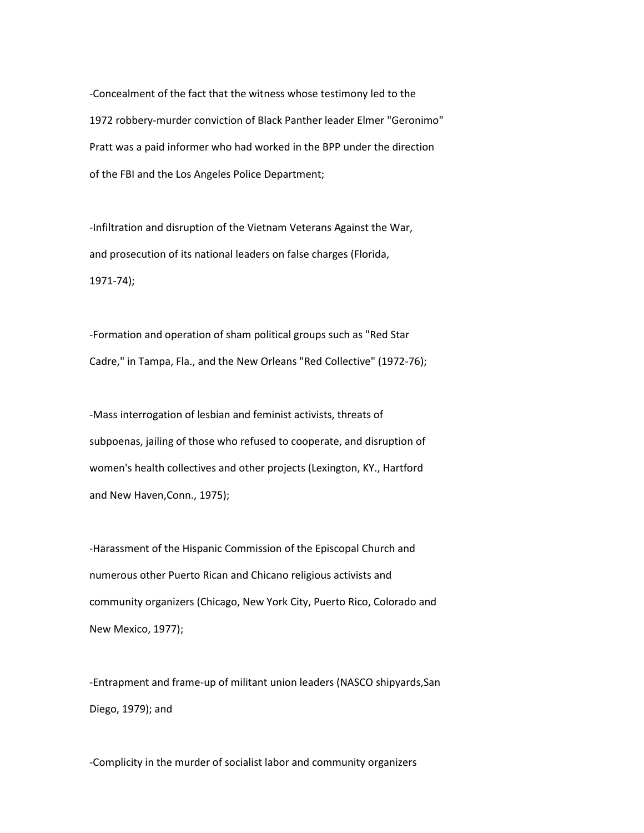-Concealment of the fact that the witness whose testimony led to the 1972 robbery-murder conviction of Black Panther leader Elmer "Geronimo" Pratt was a paid informer who had worked in the BPP under the direction of the FBI and the Los Angeles Police Department;

-Infiltration and disruption of the Vietnam Veterans Against the War, and prosecution of its national leaders on false charges (Florida, 1971-74);

-Formation and operation of sham political groups such as "Red Star Cadre," in Tampa, Fla., and the New Orleans "Red Collective" (1972-76);

-Mass interrogation of lesbian and feminist activists, threats of subpoenas, jailing of those who refused to cooperate, and disruption of women's health collectives and other projects (Lexington, KY., Hartford and New Haven,Conn., 1975);

-Harassment of the Hispanic Commission of the Episcopal Church and numerous other Puerto Rican and Chicano religious activists and community organizers (Chicago, New York City, Puerto Rico, Colorado and New Mexico, 1977);

-Entrapment and frame-up of militant union leaders (NASCO shipyards,San Diego, 1979); and

-Complicity in the murder of socialist labor and community organizers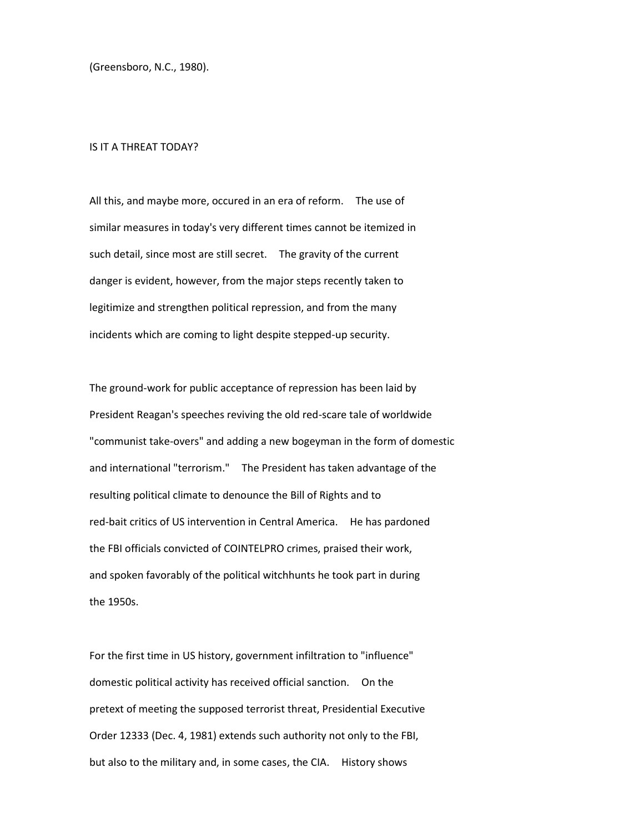(Greensboro, N.C., 1980).

### IS IT A THREAT TODAY?

All this, and maybe more, occured in an era of reform. The use of similar measures in today's very different times cannot be itemized in such detail, since most are still secret. The gravity of the current danger is evident, however, from the major steps recently taken to legitimize and strengthen political repression, and from the many incidents which are coming to light despite stepped-up security.

The ground-work for public acceptance of repression has been laid by President Reagan's speeches reviving the old red-scare tale of worldwide "communist take-overs" and adding a new bogeyman in the form of domestic and international "terrorism." The President has taken advantage of the resulting political climate to denounce the Bill of Rights and to red-bait critics of US intervention in Central America. He has pardoned the FBI officials convicted of COINTELPRO crimes, praised their work, and spoken favorably of the political witchhunts he took part in during the 1950s.

For the first time in US history, government infiltration to "influence" domestic political activity has received official sanction. On the pretext of meeting the supposed terrorist threat, Presidential Executive Order 12333 (Dec. 4, 1981) extends such authority not only to the FBI, but also to the military and, in some cases, the CIA. History shows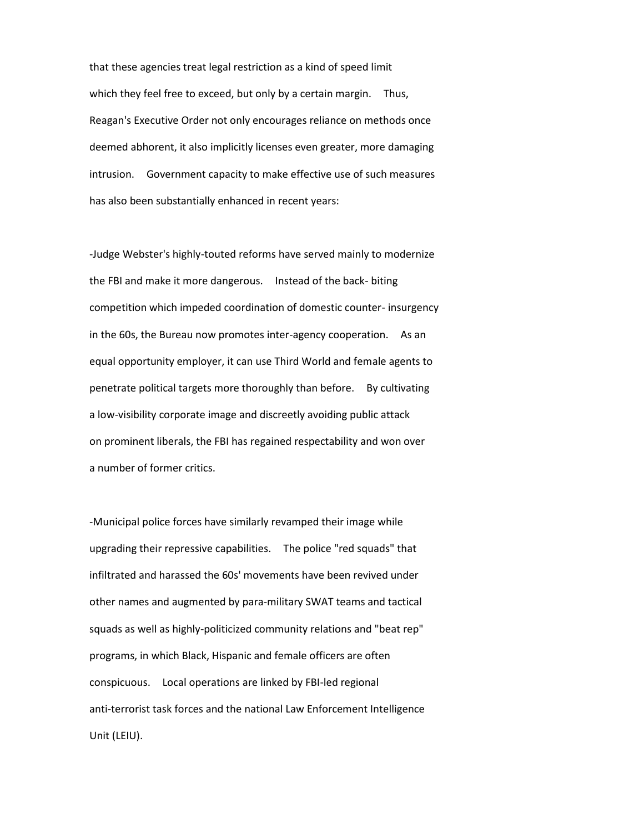that these agencies treat legal restriction as a kind of speed limit which they feel free to exceed, but only by a certain margin. Thus, Reagan's Executive Order not only encourages reliance on methods once deemed abhorent, it also implicitly licenses even greater, more damaging intrusion. Government capacity to make effective use of such measures has also been substantially enhanced in recent years:

-Judge Webster's highly-touted reforms have served mainly to modernize the FBI and make it more dangerous. Instead of the back- biting competition which impeded coordination of domestic counter- insurgency in the 60s, the Bureau now promotes inter-agency cooperation. As an equal opportunity employer, it can use Third World and female agents to penetrate political targets more thoroughly than before. By cultivating a low-visibility corporate image and discreetly avoiding public attack on prominent liberals, the FBI has regained respectability and won over a number of former critics.

-Municipal police forces have similarly revamped their image while upgrading their repressive capabilities. The police "red squads" that infiltrated and harassed the 60s' movements have been revived under other names and augmented by para-military SWAT teams and tactical squads as well as highly-politicized community relations and "beat rep" programs, in which Black, Hispanic and female officers are often conspicuous. Local operations are linked by FBI-led regional anti-terrorist task forces and the national Law Enforcement Intelligence Unit (LEIU).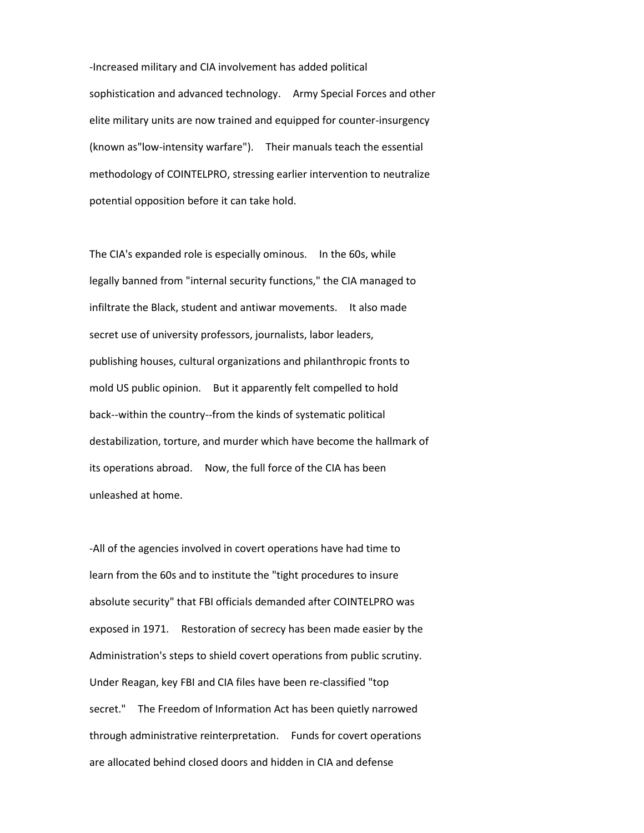-Increased military and CIA involvement has added political sophistication and advanced technology. Army Special Forces and other elite military units are now trained and equipped for counter-insurgency (known as"low-intensity warfare"). Their manuals teach the essential methodology of COINTELPRO, stressing earlier intervention to neutralize potential opposition before it can take hold.

The CIA's expanded role is especially ominous. In the 60s, while legally banned from "internal security functions," the CIA managed to infiltrate the Black, student and antiwar movements. It also made secret use of university professors, journalists, labor leaders, publishing houses, cultural organizations and philanthropic fronts to mold US public opinion. But it apparently felt compelled to hold back--within the country--from the kinds of systematic political destabilization, torture, and murder which have become the hallmark of its operations abroad. Now, the full force of the CIA has been unleashed at home.

-All of the agencies involved in covert operations have had time to learn from the 60s and to institute the "tight procedures to insure absolute security" that FBI officials demanded after COINTELPRO was exposed in 1971. Restoration of secrecy has been made easier by the Administration's steps to shield covert operations from public scrutiny. Under Reagan, key FBI and CIA files have been re-classified "top secret." The Freedom of Information Act has been quietly narrowed through administrative reinterpretation. Funds for covert operations are allocated behind closed doors and hidden in CIA and defense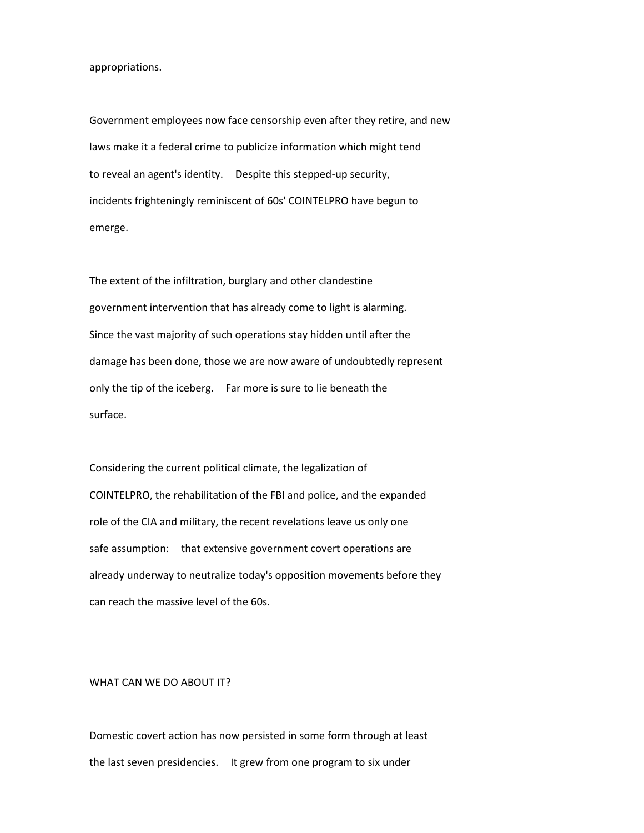appropriations.

Government employees now face censorship even after they retire, and new laws make it a federal crime to publicize information which might tend to reveal an agent's identity. Despite this stepped-up security, incidents frighteningly reminiscent of 60s' COINTELPRO have begun to emerge.

The extent of the infiltration, burglary and other clandestine government intervention that has already come to light is alarming. Since the vast majority of such operations stay hidden until after the damage has been done, those we are now aware of undoubtedly represent only the tip of the iceberg. Far more is sure to lie beneath the surface.

Considering the current political climate, the legalization of COINTELPRO, the rehabilitation of the FBI and police, and the expanded role of the CIA and military, the recent revelations leave us only one safe assumption: that extensive government covert operations are already underway to neutralize today's opposition movements before they can reach the massive level of the 60s.

## WHAT CAN WE DO ABOUT IT?

Domestic covert action has now persisted in some form through at least the last seven presidencies. It grew from one program to six under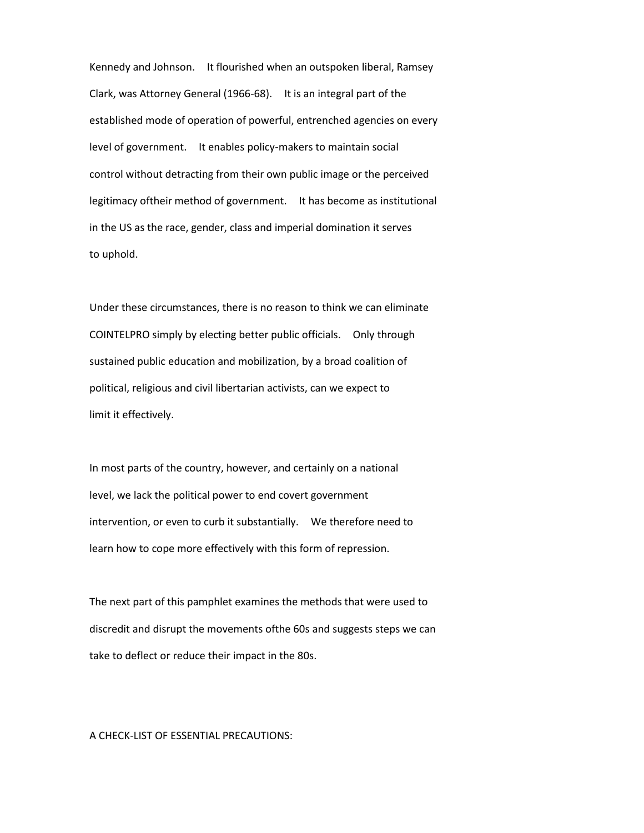Kennedy and Johnson. It flourished when an outspoken liberal, Ramsey Clark, was Attorney General (1966-68). It is an integral part of the established mode of operation of powerful, entrenched agencies on every level of government. It enables policy-makers to maintain social control without detracting from their own public image or the perceived legitimacy oftheir method of government. It has become as institutional in the US as the race, gender, class and imperial domination it serves to uphold.

Under these circumstances, there is no reason to think we can eliminate COINTELPRO simply by electing better public officials. Only through sustained public education and mobilization, by a broad coalition of political, religious and civil libertarian activists, can we expect to limit it effectively.

In most parts of the country, however, and certainly on a national level, we lack the political power to end covert government intervention, or even to curb it substantially. We therefore need to learn how to cope more effectively with this form of repression.

The next part of this pamphlet examines the methods that were used to discredit and disrupt the movements ofthe 60s and suggests steps we can take to deflect or reduce their impact in the 80s.

### A CHECK-LIST OF ESSENTIAL PRECAUTIONS: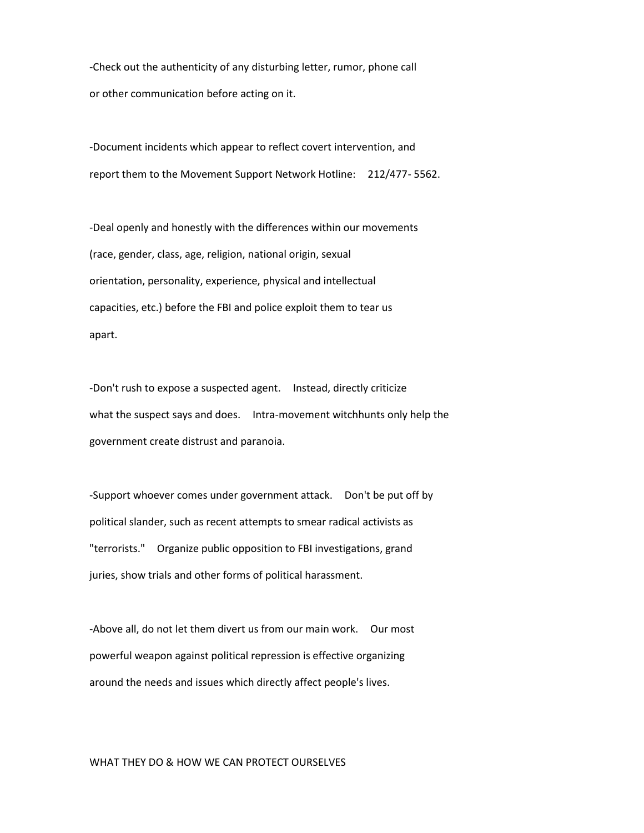-Check out the authenticity of any disturbing letter, rumor, phone call or other communication before acting on it.

-Document incidents which appear to reflect covert intervention, and report them to the Movement Support Network Hotline: 212/477- 5562.

-Deal openly and honestly with the differences within our movements (race, gender, class, age, religion, national origin, sexual orientation, personality, experience, physical and intellectual capacities, etc.) before the FBI and police exploit them to tear us apart.

-Don't rush to expose a suspected agent. Instead, directly criticize what the suspect says and does. Intra-movement witchhunts only help the government create distrust and paranoia.

-Support whoever comes under government attack. Don't be put off by political slander, such as recent attempts to smear radical activists as "terrorists." Organize public opposition to FBI investigations, grand juries, show trials and other forms of political harassment.

-Above all, do not let them divert us from our main work. Our most powerful weapon against political repression is effective organizing around the needs and issues which directly affect people's lives.

### WHAT THEY DO & HOW WE CAN PROTECT OURSELVES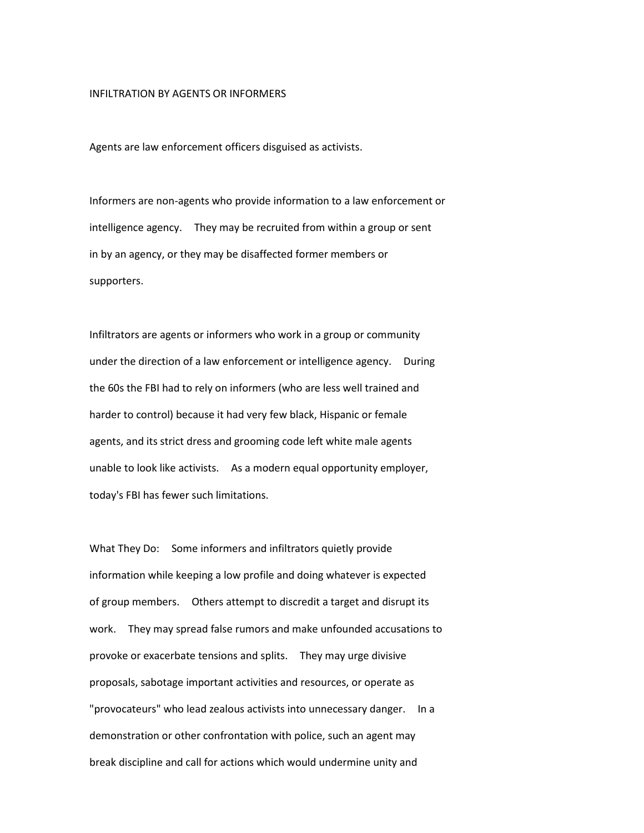#### INFILTRATION BY AGENTS OR INFORMERS

Agents are law enforcement officers disguised as activists.

Informers are non-agents who provide information to a law enforcement or intelligence agency. They may be recruited from within a group or sent in by an agency, or they may be disaffected former members or supporters.

Infiltrators are agents or informers who work in a group or community under the direction of a law enforcement or intelligence agency. During the 60s the FBI had to rely on informers (who are less well trained and harder to control) because it had very few black, Hispanic or female agents, and its strict dress and grooming code left white male agents unable to look like activists. As a modern equal opportunity employer, today's FBI has fewer such limitations.

What They Do: Some informers and infiltrators quietly provide information while keeping a low profile and doing whatever is expected of group members. Others attempt to discredit a target and disrupt its work. They may spread false rumors and make unfounded accusations to provoke or exacerbate tensions and splits. They may urge divisive proposals, sabotage important activities and resources, or operate as "provocateurs" who lead zealous activists into unnecessary danger. In a demonstration or other confrontation with police, such an agent may break discipline and call for actions which would undermine unity and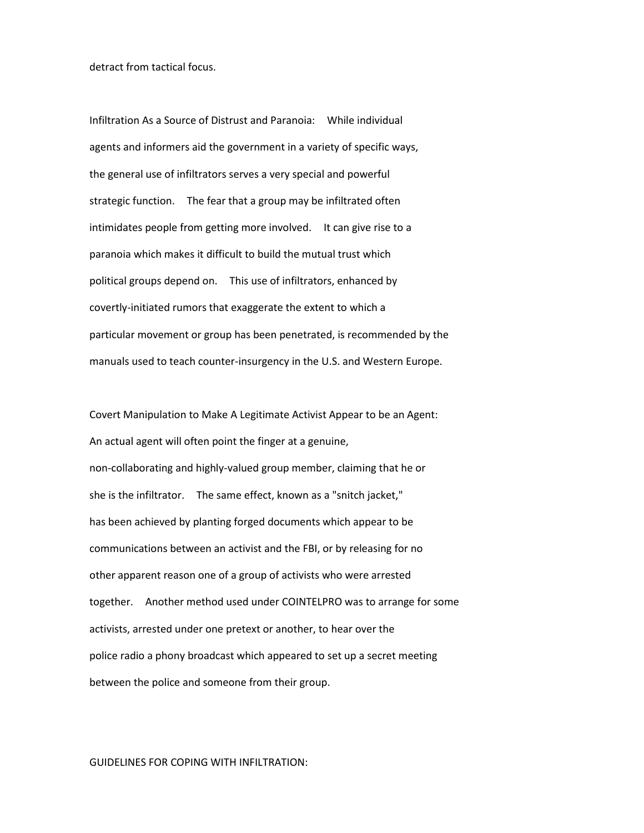detract from tactical focus.

Infiltration As a Source of Distrust and Paranoia: While individual agents and informers aid the government in a variety of specific ways, the general use of infiltrators serves a very special and powerful strategic function. The fear that a group may be infiltrated often intimidates people from getting more involved. It can give rise to a paranoia which makes it difficult to build the mutual trust which political groups depend on. This use of infiltrators, enhanced by covertly-initiated rumors that exaggerate the extent to which a particular movement or group has been penetrated, is recommended by the manuals used to teach counter-insurgency in the U.S. and Western Europe.

Covert Manipulation to Make A Legitimate Activist Appear to be an Agent: An actual agent will often point the finger at a genuine, non-collaborating and highly-valued group member, claiming that he or she is the infiltrator. The same effect, known as a "snitch jacket," has been achieved by planting forged documents which appear to be communications between an activist and the FBI, or by releasing for no other apparent reason one of a group of activists who were arrested together. Another method used under COINTELPRO was to arrange for some activists, arrested under one pretext or another, to hear over the police radio a phony broadcast which appeared to set up a secret meeting between the police and someone from their group.

#### GUIDELINES FOR COPING WITH INFILTRATION: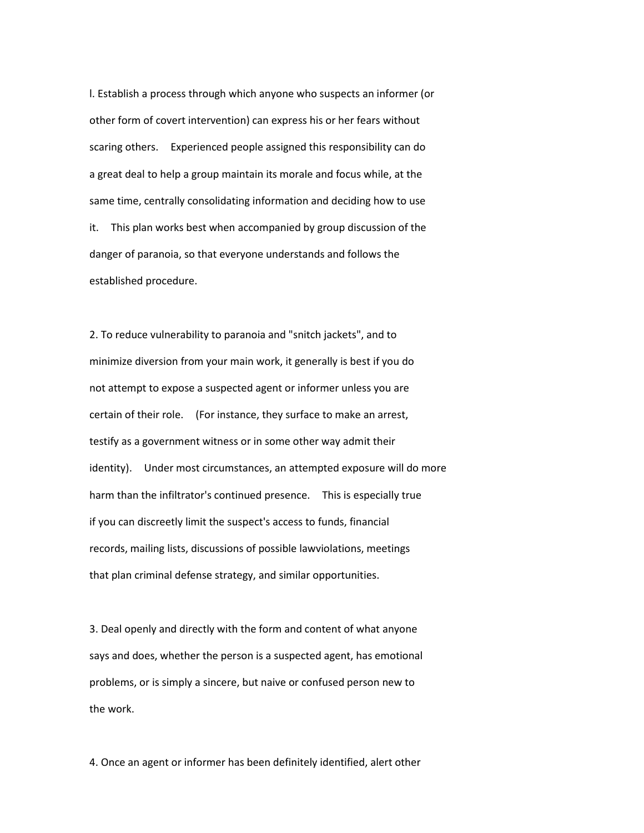l. Establish a process through which anyone who suspects an informer (or other form of covert intervention) can express his or her fears without scaring others. Experienced people assigned this responsibility can do a great deal to help a group maintain its morale and focus while, at the same time, centrally consolidating information and deciding how to use it. This plan works best when accompanied by group discussion of the danger of paranoia, so that everyone understands and follows the established procedure.

2. To reduce vulnerability to paranoia and "snitch jackets", and to minimize diversion from your main work, it generally is best if you do not attempt to expose a suspected agent or informer unless you are certain of their role. (For instance, they surface to make an arrest, testify as a government witness or in some other way admit their identity). Under most circumstances, an attempted exposure will do more harm than the infiltrator's continued presence. This is especially true if you can discreetly limit the suspect's access to funds, financial records, mailing lists, discussions of possible lawviolations, meetings that plan criminal defense strategy, and similar opportunities.

3. Deal openly and directly with the form and content of what anyone says and does, whether the person is a suspected agent, has emotional problems, or is simply a sincere, but naive or confused person new to the work.

4. Once an agent or informer has been definitely identified, alert other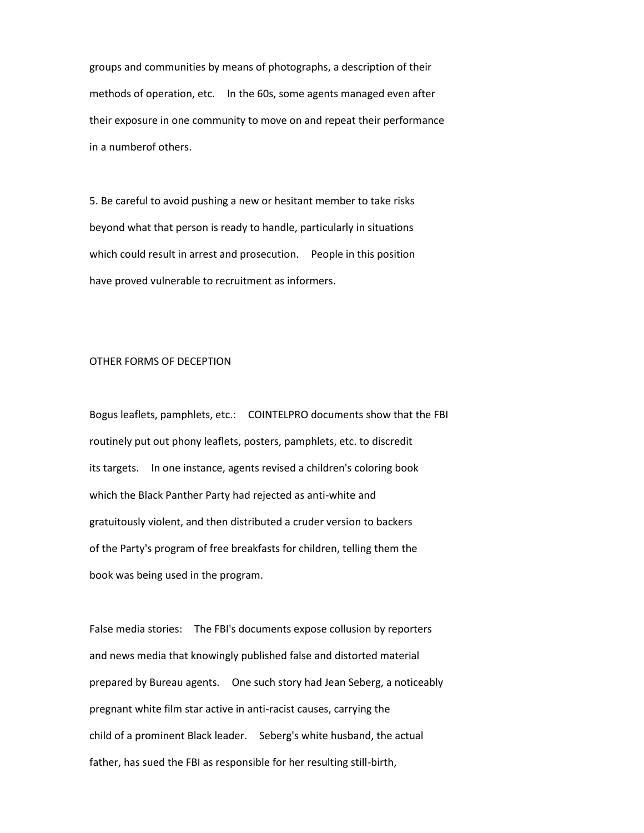groups and communities by means of photographs, a description of their methods of operation, etc. In the 60s, some agents managed even after their exposure in one community to move on and repeat their performance in a numberof others.

5. Be careful to avoid pushing a new or hesitant member to take risks beyond what that person is ready to handle, particularly in situations which could result in arrest and prosecution. People in this position have proved vulnerable to recruitment as informers.

## OTHER FORMS OF DECEPTION

Bogus leaflets, pamphlets, etc.: COINTELPRO documents show that the FBI routinely put out phony leaflets, posters, pamphlets, etc. to discredit its targets. In one instance, agents revised a children's coloring book which the Black Panther Party had rejected as anti-white and gratuitously violent, and then distributed a cruder version to backers of the Party's program of free breakfasts for children, telling them the book was being used in the program.

False media stories: The FBI's documents expose collusion by reporters and news media that knowingly published false and distorted material prepared by Bureau agents. One such story had Jean Seberg, a noticeably pregnant white film star active in anti-racist causes, carrying the child of a prominent Black leader. Seberg's white husband, the actual father, has sued the FBI as responsible for her resulting still-birth,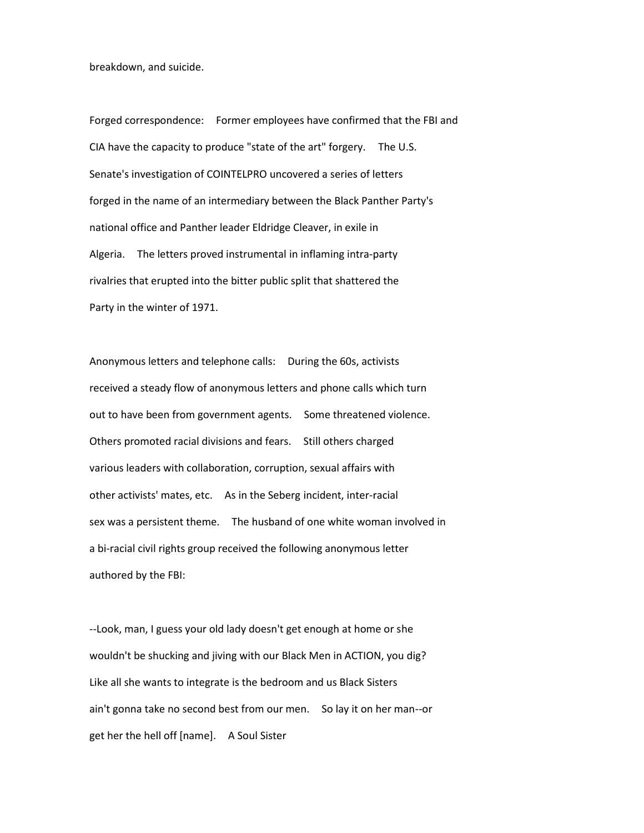breakdown, and suicide.

Forged correspondence: Former employees have confirmed that the FBI and CIA have the capacity to produce "state of the art" forgery. The U.S. Senate's investigation of COINTELPRO uncovered a series of letters forged in the name of an intermediary between the Black Panther Party's national office and Panther leader Eldridge Cleaver, in exile in Algeria. The letters proved instrumental in inflaming intra-party rivalries that erupted into the bitter public split that shattered the Party in the winter of 1971.

Anonymous letters and telephone calls: During the 60s, activists received a steady flow of anonymous letters and phone calls which turn out to have been from government agents. Some threatened violence. Others promoted racial divisions and fears. Still others charged various leaders with collaboration, corruption, sexual affairs with other activists' mates, etc. As in the Seberg incident, inter-racial sex was a persistent theme. The husband of one white woman involved in a bi-racial civil rights group received the following anonymous letter authored by the FBI:

--Look, man, I guess your old lady doesn't get enough at home or she wouldn't be shucking and jiving with our Black Men in ACTION, you dig? Like all she wants to integrate is the bedroom and us Black Sisters ain't gonna take no second best from our men. So lay it on her man--or get her the hell off [name]. A Soul Sister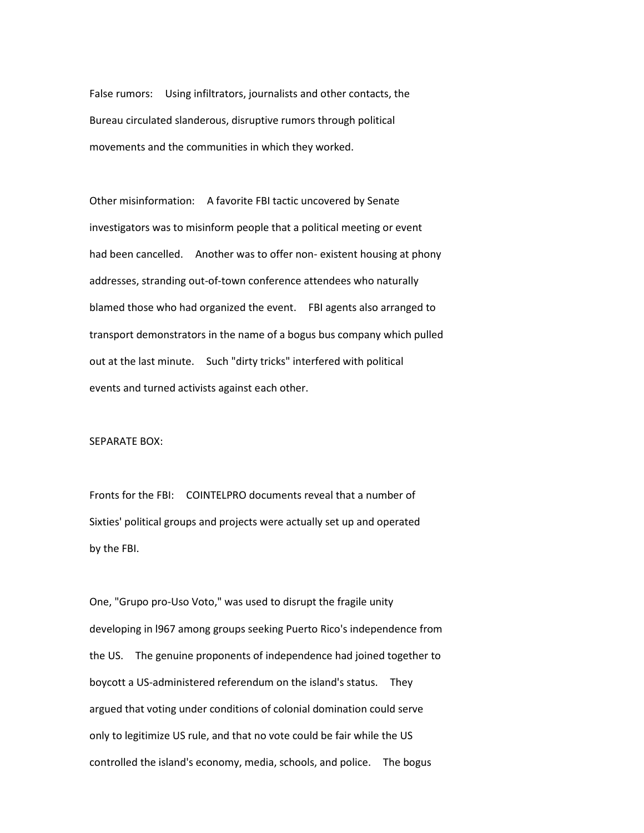False rumors: Using infiltrators, journalists and other contacts, the Bureau circulated slanderous, disruptive rumors through political movements and the communities in which they worked.

Other misinformation: A favorite FBI tactic uncovered by Senate investigators was to misinform people that a political meeting or event had been cancelled. Another was to offer non- existent housing at phony addresses, stranding out-of-town conference attendees who naturally blamed those who had organized the event. FBI agents also arranged to transport demonstrators in the name of a bogus bus company which pulled out at the last minute. Such "dirty tricks" interfered with political events and turned activists against each other.

### SEPARATE BOX:

Fronts for the FBI: COINTELPRO documents reveal that a number of Sixties' political groups and projects were actually set up and operated by the FBI.

One, "Grupo pro-Uso Voto," was used to disrupt the fragile unity developing in l967 among groups seeking Puerto Rico's independence from the US. The genuine proponents of independence had joined together to boycott a US-administered referendum on the island's status. They argued that voting under conditions of colonial domination could serve only to legitimize US rule, and that no vote could be fair while the US controlled the island's economy, media, schools, and police. The bogus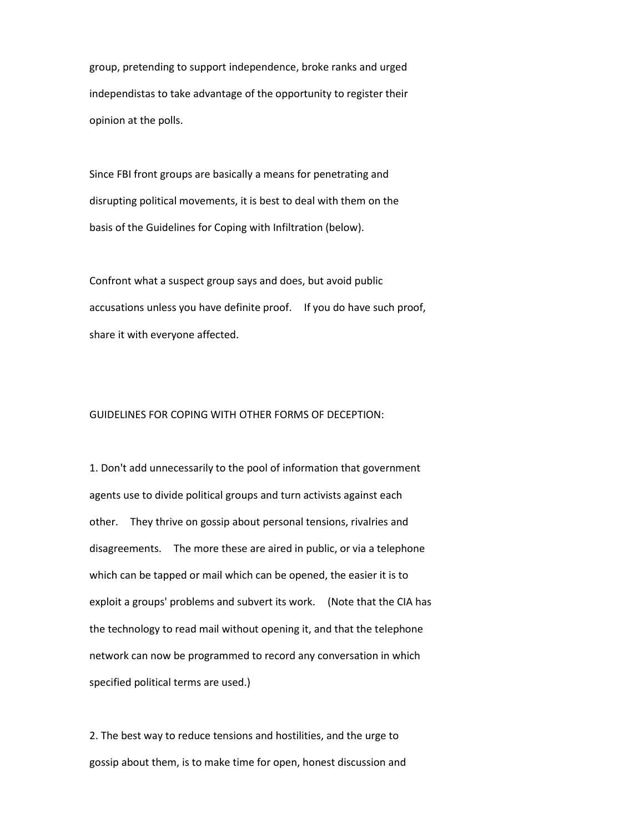group, pretending to support independence, broke ranks and urged independistas to take advantage of the opportunity to register their opinion at the polls.

Since FBI front groups are basically a means for penetrating and disrupting political movements, it is best to deal with them on the basis of the Guidelines for Coping with Infiltration (below).

Confront what a suspect group says and does, but avoid public accusations unless you have definite proof. If you do have such proof, share it with everyone affected.

### GUIDELINES FOR COPING WITH OTHER FORMS OF DECEPTION:

1. Don't add unnecessarily to the pool of information that government agents use to divide political groups and turn activists against each other. They thrive on gossip about personal tensions, rivalries and disagreements. The more these are aired in public, or via a telephone which can be tapped or mail which can be opened, the easier it is to exploit a groups' problems and subvert its work. (Note that the CIA has the technology to read mail without opening it, and that the telephone network can now be programmed to record any conversation in which specified political terms are used.)

2. The best way to reduce tensions and hostilities, and the urge to gossip about them, is to make time for open, honest discussion and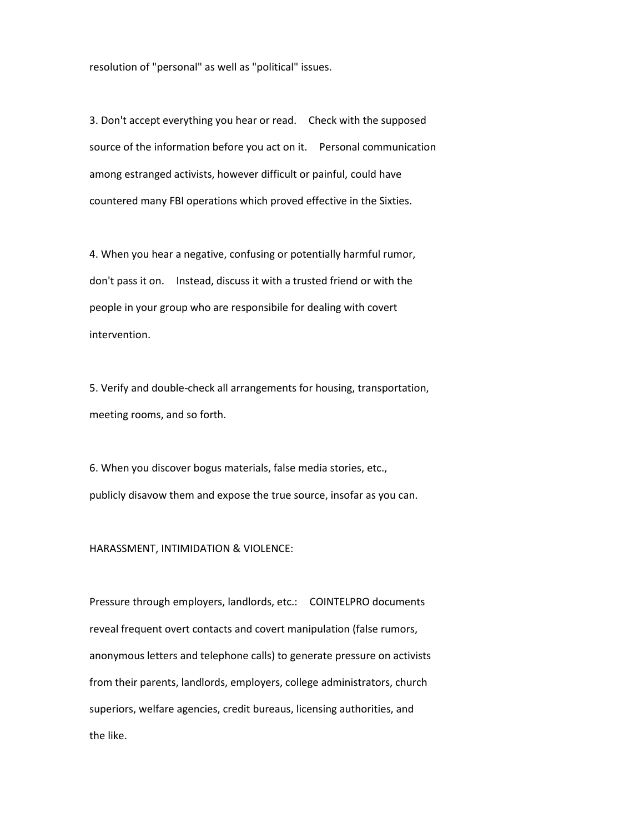resolution of "personal" as well as "political" issues.

3. Don't accept everything you hear or read. Check with the supposed source of the information before you act on it. Personal communication among estranged activists, however difficult or painful, could have countered many FBI operations which proved effective in the Sixties.

4. When you hear a negative, confusing or potentially harmful rumor, don't pass it on. Instead, discuss it with a trusted friend or with the people in your group who are responsibile for dealing with covert intervention.

5. Verify and double-check all arrangements for housing, transportation, meeting rooms, and so forth.

6. When you discover bogus materials, false media stories, etc., publicly disavow them and expose the true source, insofar as you can.

HARASSMENT, INTIMIDATION & VIOLENCE:

Pressure through employers, landlords, etc.: COINTELPRO documents reveal frequent overt contacts and covert manipulation (false rumors, anonymous letters and telephone calls) to generate pressure on activists from their parents, landlords, employers, college administrators, church superiors, welfare agencies, credit bureaus, licensing authorities, and the like.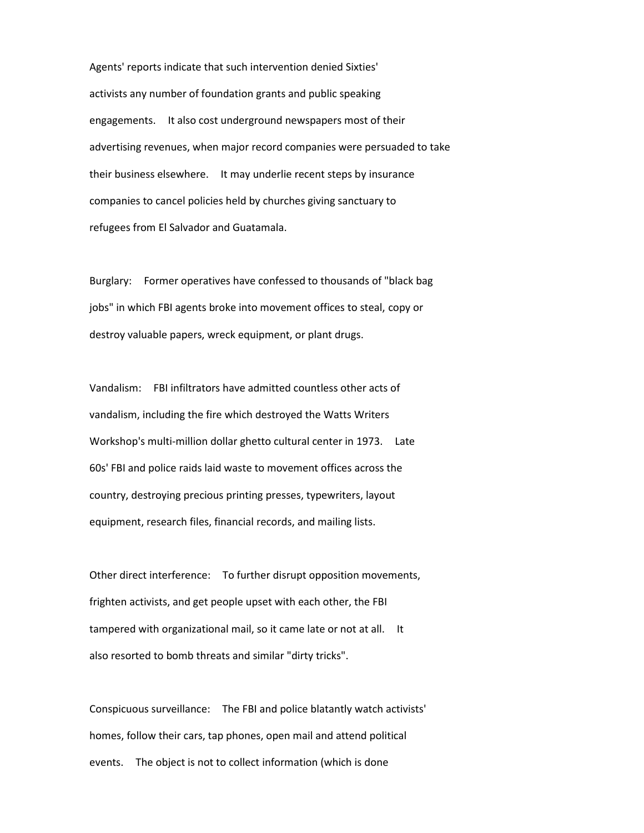Agents' reports indicate that such intervention denied Sixties' activists any number of foundation grants and public speaking engagements. It also cost underground newspapers most of their advertising revenues, when major record companies were persuaded to take their business elsewhere. It may underlie recent steps by insurance companies to cancel policies held by churches giving sanctuary to refugees from El Salvador and Guatamala.

Burglary: Former operatives have confessed to thousands of "black bag jobs" in which FBI agents broke into movement offices to steal, copy or destroy valuable papers, wreck equipment, or plant drugs.

Vandalism: FBI infiltrators have admitted countless other acts of vandalism, including the fire which destroyed the Watts Writers Workshop's multi-million dollar ghetto cultural center in 1973. Late 60s' FBI and police raids laid waste to movement offices across the country, destroying precious printing presses, typewriters, layout equipment, research files, financial records, and mailing lists.

Other direct interference: To further disrupt opposition movements, frighten activists, and get people upset with each other, the FBI tampered with organizational mail, so it came late or not at all. It also resorted to bomb threats and similar "dirty tricks".

Conspicuous surveillance: The FBI and police blatantly watch activists' homes, follow their cars, tap phones, open mail and attend political events. The object is not to collect information (which is done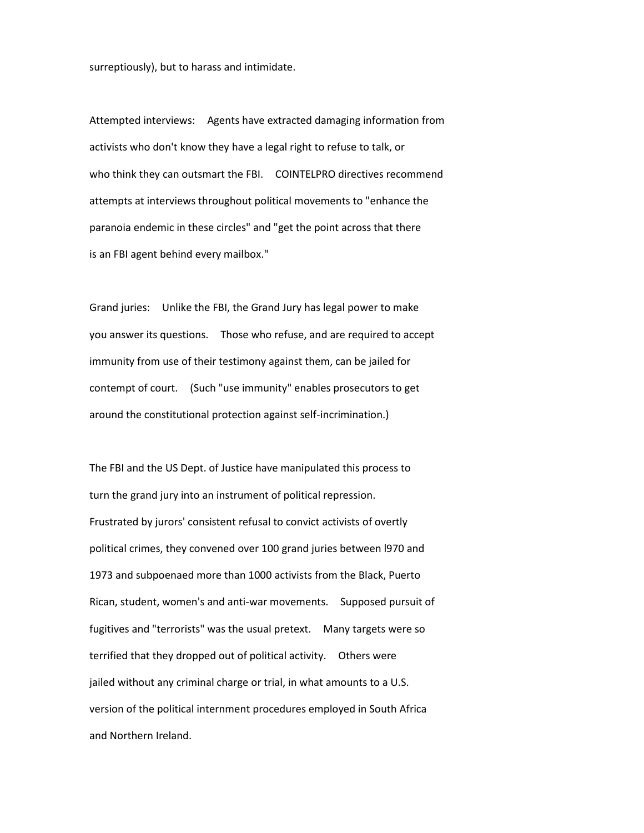surreptiously), but to harass and intimidate.

Attempted interviews: Agents have extracted damaging information from activists who don't know they have a legal right to refuse to talk, or who think they can outsmart the FBI. COINTELPRO directives recommend attempts at interviews throughout political movements to "enhance the paranoia endemic in these circles" and "get the point across that there is an FBI agent behind every mailbox."

Grand juries: Unlike the FBI, the Grand Jury has legal power to make you answer its questions. Those who refuse, and are required to accept immunity from use of their testimony against them, can be jailed for contempt of court. (Such "use immunity" enables prosecutors to get around the constitutional protection against self-incrimination.)

The FBI and the US Dept. of Justice have manipulated this process to turn the grand jury into an instrument of political repression. Frustrated by jurors' consistent refusal to convict activists of overtly political crimes, they convened over 100 grand juries between l970 and 1973 and subpoenaed more than 1000 activists from the Black, Puerto Rican, student, women's and anti-war movements. Supposed pursuit of fugitives and "terrorists" was the usual pretext. Many targets were so terrified that they dropped out of political activity. Others were jailed without any criminal charge or trial, in what amounts to a U.S. version of the political internment procedures employed in South Africa and Northern Ireland.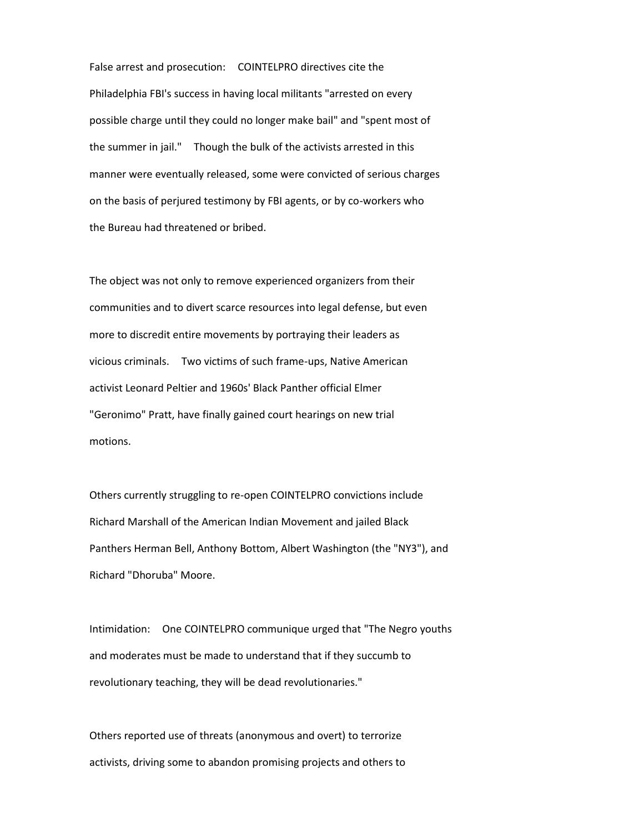False arrest and prosecution: COINTELPRO directives cite the Philadelphia FBI's success in having local militants "arrested on every possible charge until they could no longer make bail" and "spent most of the summer in jail." Though the bulk of the activists arrested in this manner were eventually released, some were convicted of serious charges on the basis of perjured testimony by FBI agents, or by co-workers who the Bureau had threatened or bribed.

The object was not only to remove experienced organizers from their communities and to divert scarce resources into legal defense, but even more to discredit entire movements by portraying their leaders as vicious criminals. Two victims of such frame-ups, Native American activist Leonard Peltier and 1960s' Black Panther official Elmer "Geronimo" Pratt, have finally gained court hearings on new trial motions.

Others currently struggling to re-open COINTELPRO convictions include Richard Marshall of the American Indian Movement and jailed Black Panthers Herman Bell, Anthony Bottom, Albert Washington (the "NY3"), and Richard "Dhoruba" Moore.

Intimidation: One COINTELPRO communique urged that "The Negro youths and moderates must be made to understand that if they succumb to revolutionary teaching, they will be dead revolutionaries."

Others reported use of threats (anonymous and overt) to terrorize activists, driving some to abandon promising projects and others to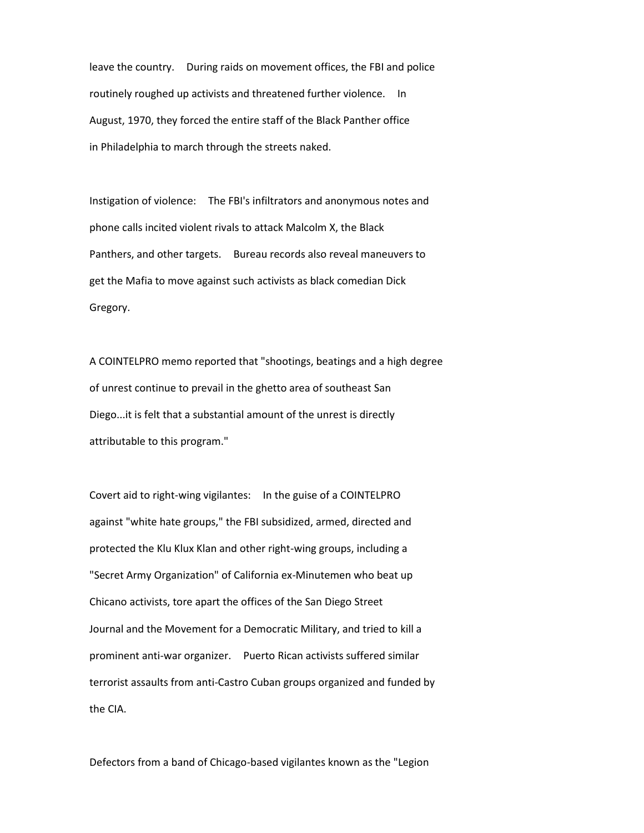leave the country. During raids on movement offices, the FBI and police routinely roughed up activists and threatened further violence. In August, 1970, they forced the entire staff of the Black Panther office in Philadelphia to march through the streets naked.

Instigation of violence: The FBI's infiltrators and anonymous notes and phone calls incited violent rivals to attack Malcolm X, the Black Panthers, and other targets. Bureau records also reveal maneuvers to get the Mafia to move against such activists as black comedian Dick Gregory.

A COINTELPRO memo reported that "shootings, beatings and a high degree of unrest continue to prevail in the ghetto area of southeast San Diego...it is felt that a substantial amount of the unrest is directly attributable to this program."

Covert aid to right-wing vigilantes: In the guise of a COINTELPRO against "white hate groups," the FBI subsidized, armed, directed and protected the Klu Klux Klan and other right-wing groups, including a "Secret Army Organization" of California ex-Minutemen who beat up Chicano activists, tore apart the offices of the San Diego Street Journal and the Movement for a Democratic Military, and tried to kill a prominent anti-war organizer. Puerto Rican activists suffered similar terrorist assaults from anti-Castro Cuban groups organized and funded by the CIA.

Defectors from a band of Chicago-based vigilantes known as the "Legion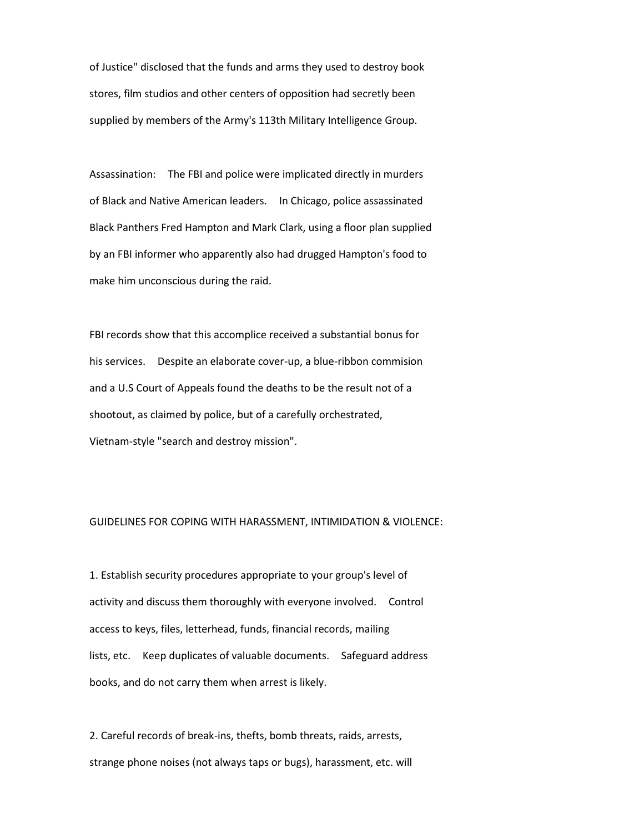of Justice" disclosed that the funds and arms they used to destroy book stores, film studios and other centers of opposition had secretly been supplied by members of the Army's 113th Military Intelligence Group.

Assassination: The FBI and police were implicated directly in murders of Black and Native American leaders. In Chicago, police assassinated Black Panthers Fred Hampton and Mark Clark, using a floor plan supplied by an FBI informer who apparently also had drugged Hampton's food to make him unconscious during the raid.

FBI records show that this accomplice received a substantial bonus for his services. Despite an elaborate cover-up, a blue-ribbon commision and a U.S Court of Appeals found the deaths to be the result not of a shootout, as claimed by police, but of a carefully orchestrated, Vietnam-style "search and destroy mission".

# GUIDELINES FOR COPING WITH HARASSMENT, INTIMIDATION & VIOLENCE:

1. Establish security procedures appropriate to your group's level of activity and discuss them thoroughly with everyone involved. Control access to keys, files, letterhead, funds, financial records, mailing lists, etc. Keep duplicates of valuable documents. Safeguard address books, and do not carry them when arrest is likely.

2. Careful records of break-ins, thefts, bomb threats, raids, arrests, strange phone noises (not always taps or bugs), harassment, etc. will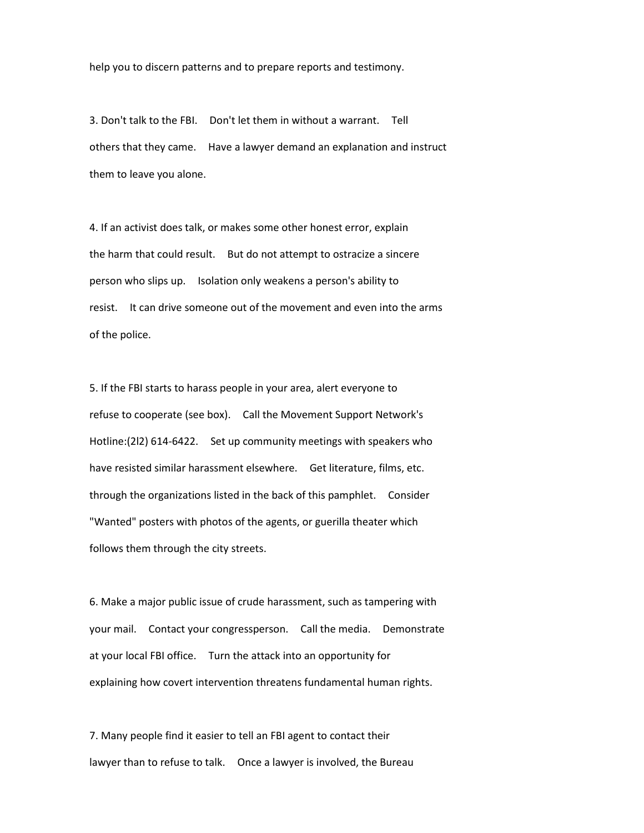help you to discern patterns and to prepare reports and testimony.

3. Don't talk to the FBI. Don't let them in without a warrant. Tell others that they came. Have a lawyer demand an explanation and instruct them to leave you alone.

4. If an activist does talk, or makes some other honest error, explain the harm that could result. But do not attempt to ostracize a sincere person who slips up. Isolation only weakens a person's ability to resist. It can drive someone out of the movement and even into the arms of the police.

5. If the FBI starts to harass people in your area, alert everyone to refuse to cooperate (see box). Call the Movement Support Network's Hotline:(2l2) 614-6422. Set up community meetings with speakers who have resisted similar harassment elsewhere. Get literature, films, etc. through the organizations listed in the back of this pamphlet. Consider "Wanted" posters with photos of the agents, or guerilla theater which follows them through the city streets.

6. Make a major public issue of crude harassment, such as tampering with your mail. Contact your congressperson. Call the media. Demonstrate at your local FBI office. Turn the attack into an opportunity for explaining how covert intervention threatens fundamental human rights.

7. Many people find it easier to tell an FBI agent to contact their lawyer than to refuse to talk. Once a lawyer is involved, the Bureau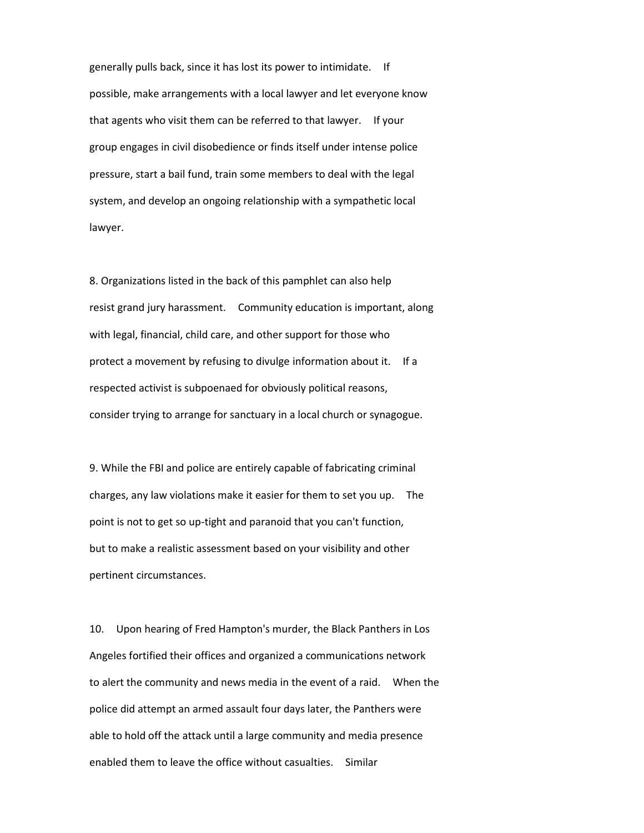generally pulls back, since it has lost its power to intimidate. If possible, make arrangements with a local lawyer and let everyone know that agents who visit them can be referred to that lawyer. If your group engages in civil disobedience or finds itself under intense police pressure, start a bail fund, train some members to deal with the legal system, and develop an ongoing relationship with a sympathetic local lawyer.

8. Organizations listed in the back of this pamphlet can also help resist grand jury harassment. Community education is important, along with legal, financial, child care, and other support for those who protect a movement by refusing to divulge information about it. If a respected activist is subpoenaed for obviously political reasons, consider trying to arrange for sanctuary in a local church or synagogue.

9. While the FBI and police are entirely capable of fabricating criminal charges, any law violations make it easier for them to set you up. The point is not to get so up-tight and paranoid that you can't function, but to make a realistic assessment based on your visibility and other pertinent circumstances.

10. Upon hearing of Fred Hampton's murder, the Black Panthers in Los Angeles fortified their offices and organized a communications network to alert the community and news media in the event of a raid. When the police did attempt an armed assault four days later, the Panthers were able to hold off the attack until a large community and media presence enabled them to leave the office without casualties. Similar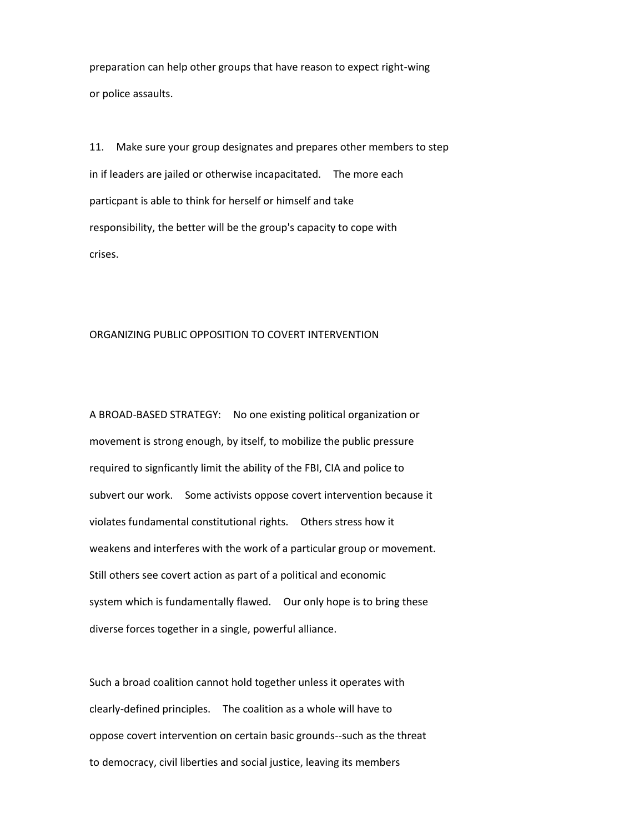preparation can help other groups that have reason to expect right-wing or police assaults.

11. Make sure your group designates and prepares other members to step in if leaders are jailed or otherwise incapacitated. The more each particpant is able to think for herself or himself and take responsibility, the better will be the group's capacity to cope with crises.

### ORGANIZING PUBLIC OPPOSITION TO COVERT INTERVENTION

A BROAD-BASED STRATEGY: No one existing political organization or movement is strong enough, by itself, to mobilize the public pressure required to signficantly limit the ability of the FBI, CIA and police to subvert our work. Some activists oppose covert intervention because it violates fundamental constitutional rights. Others stress how it weakens and interferes with the work of a particular group or movement. Still others see covert action as part of a political and economic system which is fundamentally flawed. Our only hope is to bring these diverse forces together in a single, powerful alliance.

Such a broad coalition cannot hold together unless it operates with clearly-defined principles. The coalition as a whole will have to oppose covert intervention on certain basic grounds--such as the threat to democracy, civil liberties and social justice, leaving its members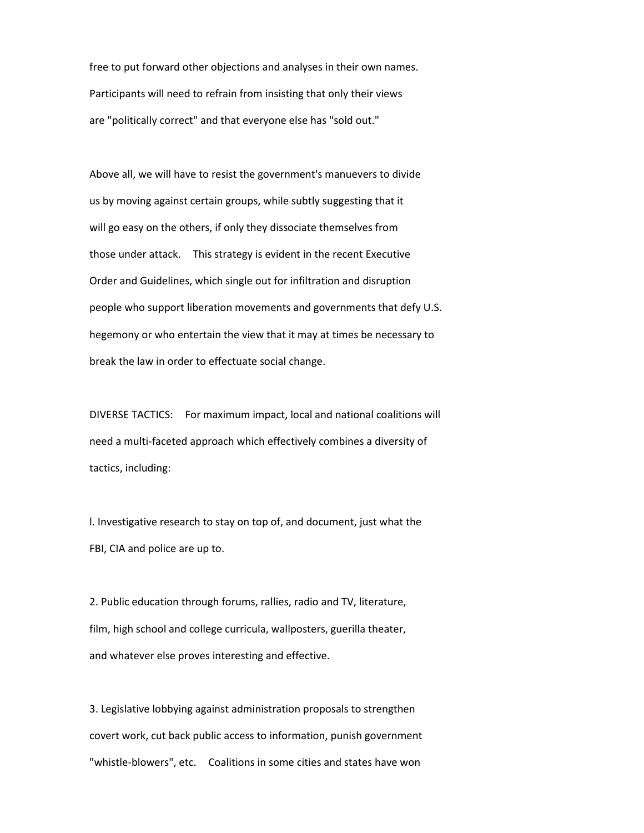free to put forward other objections and analyses in their own names. Participants will need to refrain from insisting that only their views are "politically correct" and that everyone else has "sold out."

Above all, we will have to resist the government's manuevers to divide us by moving against certain groups, while subtly suggesting that it will go easy on the others, if only they dissociate themselves from those under attack. This strategy is evident in the recent Executive Order and Guidelines, which single out for infiltration and disruption people who support liberation movements and governments that defy U.S. hegemony or who entertain the view that it may at times be necessary to break the law in order to effectuate social change.

DIVERSE TACTICS: For maximum impact, local and national coalitions will need a multi-faceted approach which effectively combines a diversity of tactics, including:

l. Investigative research to stay on top of, and document, just what the FBI, CIA and police are up to.

2. Public education through forums, rallies, radio and TV, literature, film, high school and college curricula, wallposters, guerilla theater, and whatever else proves interesting and effective.

3. Legislative lobbying against administration proposals to strengthen covert work, cut back public access to information, punish government "whistle-blowers", etc. Coalitions in some cities and states have won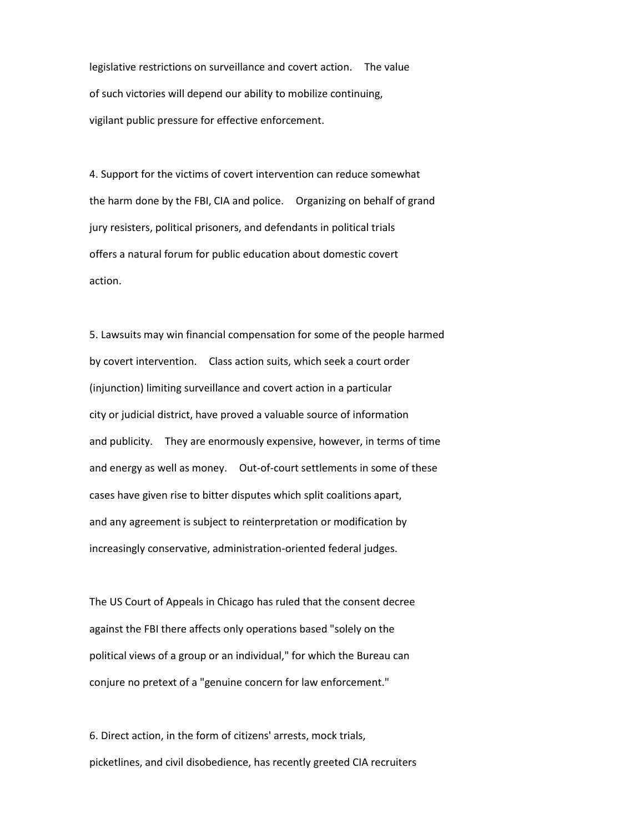legislative restrictions on surveillance and covert action. The value of such victories will depend our ability to mobilize continuing, vigilant public pressure for effective enforcement.

4. Support for the victims of covert intervention can reduce somewhat the harm done by the FBI, CIA and police. Organizing on behalf of grand jury resisters, political prisoners, and defendants in political trials offers a natural forum for public education about domestic covert action.

5. Lawsuits may win financial compensation for some of the people harmed by covert intervention. Class action suits, which seek a court order (injunction) limiting surveillance and covert action in a particular city or judicial district, have proved a valuable source of information and publicity. They are enormously expensive, however, in terms of time and energy as well as money. Out-of-court settlements in some of these cases have given rise to bitter disputes which split coalitions apart, and any agreement is subject to reinterpretation or modification by increasingly conservative, administration-oriented federal judges.

The US Court of Appeals in Chicago has ruled that the consent decree against the FBI there affects only operations based "solely on the political views of a group or an individual," for which the Bureau can conjure no pretext of a "genuine concern for law enforcement."

6. Direct action, in the form of citizens' arrests, mock trials, picketlines, and civil disobedience, has recently greeted CIA recruiters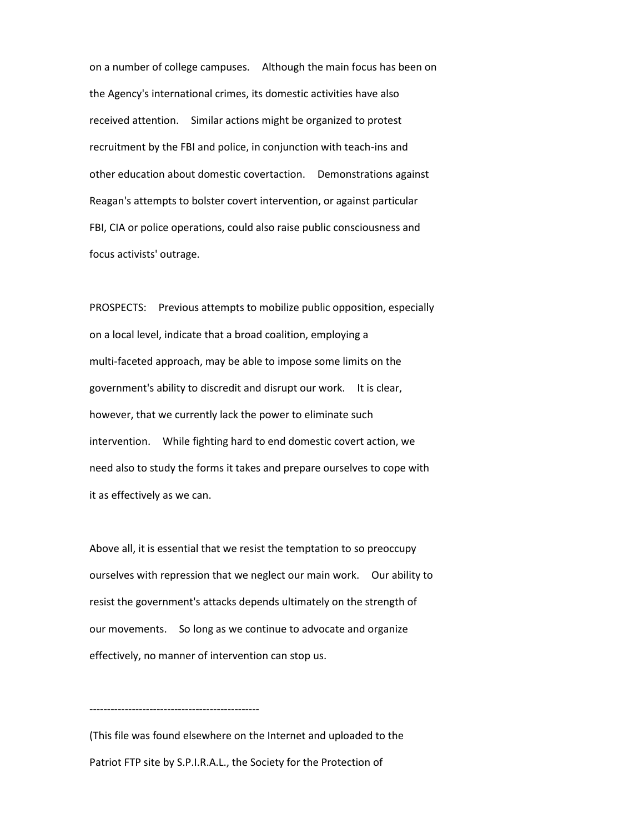on a number of college campuses. Although the main focus has been on the Agency's international crimes, its domestic activities have also received attention. Similar actions might be organized to protest recruitment by the FBI and police, in conjunction with teach-ins and other education about domestic covertaction. Demonstrations against Reagan's attempts to bolster covert intervention, or against particular FBI, CIA or police operations, could also raise public consciousness and focus activists' outrage.

PROSPECTS: Previous attempts to mobilize public opposition, especially on a local level, indicate that a broad coalition, employing a multi-faceted approach, may be able to impose some limits on the government's ability to discredit and disrupt our work. It is clear, however, that we currently lack the power to eliminate such intervention. While fighting hard to end domestic covert action, we need also to study the forms it takes and prepare ourselves to cope with it as effectively as we can.

Above all, it is essential that we resist the temptation to so preoccupy ourselves with repression that we neglect our main work. Our ability to resist the government's attacks depends ultimately on the strength of our movements. So long as we continue to advocate and organize effectively, no manner of intervention can stop us.

(This file was found elsewhere on the Internet and uploaded to the Patriot FTP site by S.P.I.R.A.L., the Society for the Protection of

------------------------------------------------